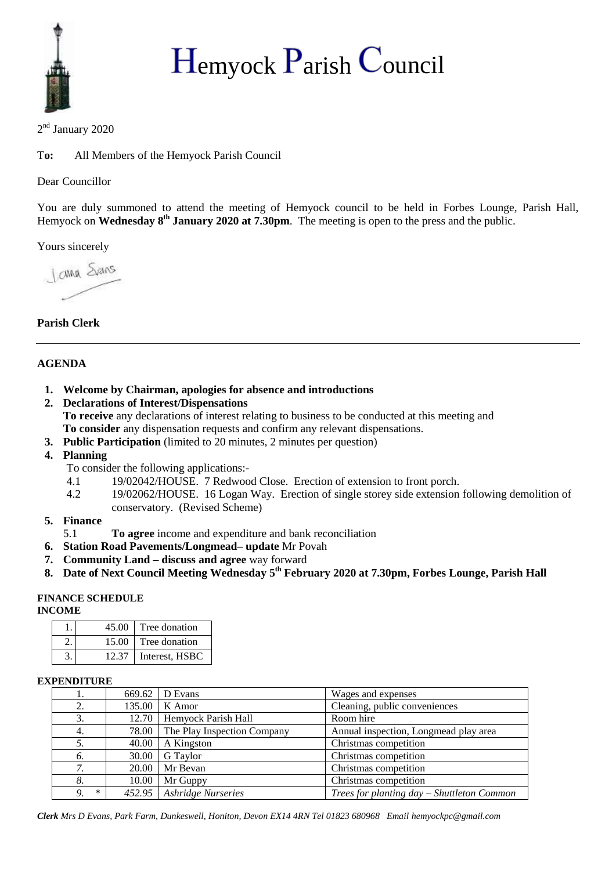

# $H_{\text{emyock}}$   $P_{\text{arish}}$   $C_{\text{ouncil}}$

2<sup>nd</sup> January 2020

T**o:** All Members of the Hemyock Parish Council

Dear Councillor

You are duly summoned to attend the meeting of Hemyock council to be held in Forbes Lounge, Parish Hall, Hemyock on **Wednesday 8th January 2020 at 7.30pm**. The meeting is open to the press and the public.

Yours sincerely

Jama Stars

## **Parish Clerk**

### **AGENDA**

- **1. Welcome by Chairman, apologies for absence and introductions**
- **2. Declarations of Interest/Dispensations To receive** any declarations of interest relating to business to be conducted at this meeting and
	- **To consider** any dispensation requests and confirm any relevant dispensations.
- **3. Public Participation** (limited to 20 minutes, 2 minutes per question)
- **4. Planning**
	- To consider the following applications:-
	- 4.1 19/02042/HOUSE. 7 Redwood Close. Erection of extension to front porch.
	- 4.2 19/02062/HOUSE. 16 Logan Way. Erection of single storey side extension following demolition of conservatory. (Revised Scheme)

#### **5. Finance**

- 5.1 **To agree** income and expenditure and bank reconciliation
- **6. Station Road Pavements/Longmead– update** Mr Povah
- **7. Community Land – discuss and agree** way forward
- **8. Date of Next Council Meeting Wednesday 5 th February 2020 at 7.30pm, Forbes Lounge, Parish Hall**

#### **FINANCE SCHEDULE**

**INCOME**

| 45.00 | Tree donation  |
|-------|----------------|
| 15.00 | Tree donation  |
| 12.37 | Interest, HSBC |

#### **EXPENDITURE**

| 1.           | 669.62 | D Evans                     | Wages and expenses                         |
|--------------|--------|-----------------------------|--------------------------------------------|
| 2.           | 135.00 | K Amor                      | Cleaning, public conveniences              |
| 3.           | 12.70  | Hemyock Parish Hall         | Room hire                                  |
| 4.           | 78.00  | The Play Inspection Company | Annual inspection, Longmead play area      |
| 5.           | 40.00  | A Kingston                  | Christmas competition                      |
| 6.           | 30.00  | G Taylor                    | Christmas competition                      |
| 7.           | 20.00  | Mr Bevan                    | Christmas competition                      |
| 8.           | 10.00  | Mr Guppy                    | Christmas competition                      |
| $\ast$<br>9. |        | 452.95   Ashridge Nurseries | Trees for planting day – Shuttleton Common |

*Clerk Mrs D Evans, Park Farm, Dunkeswell, Honiton, Devon EX14 4RN Tel 01823 680968 Email hemyockpc@gmail.com*